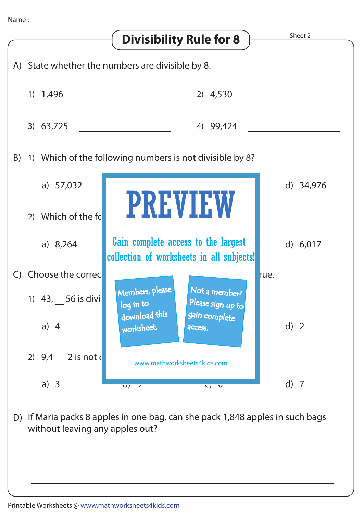

without leaving any apples out?